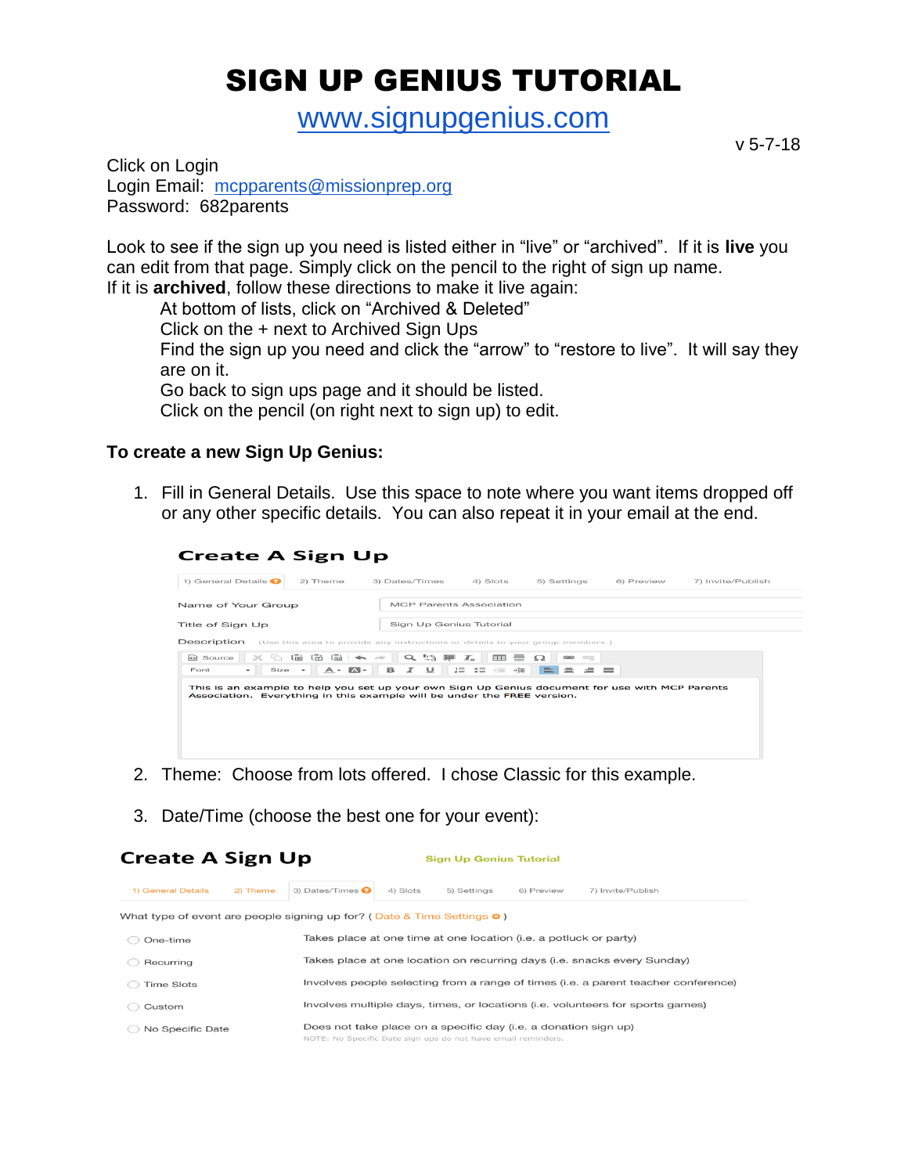## SIGN UP GENIUS TUTORIAL

[www.signupgenius.com](http://www.signupgenius.com/)

v 5-7-18

Click on Login Login Email: [mcpparents@missionprep.org](mailto:mcpparents@missionprep.org) Password: 682parents

Look to see if the sign up you need is listed either in "live" or "archived". If it is **live** you can edit from that page. Simply click on the pencil to the right of sign up name. If it is **archived**, follow these directions to make it live again:

At bottom of lists, click on "Archived & Deleted"

Click on the + next to Archived Sign Ups

Find the sign up you need and click the "arrow" to "restore to live". It will say they are on it.

Go back to sign ups page and it should be listed.

Click on the pencil (on right next to sign up) to edit.

## **To create a new Sign Up Genius:**

1. Fill in General Details. Use this space to note where you want items dropped off or any other specific details. You can also repeat it in your email at the end.

| <b>Create A Sign Up</b>                                                                      |                                |                                                                                                                                                                                                                                                                                                                                                                                                                                                                                                                                                                                                                                                                  |                                                                                                                             |  |  |  |  |  |
|----------------------------------------------------------------------------------------------|--------------------------------|------------------------------------------------------------------------------------------------------------------------------------------------------------------------------------------------------------------------------------------------------------------------------------------------------------------------------------------------------------------------------------------------------------------------------------------------------------------------------------------------------------------------------------------------------------------------------------------------------------------------------------------------------------------|-----------------------------------------------------------------------------------------------------------------------------|--|--|--|--|--|
| 3) Dates/Times<br>4) Slots                                                                   | 5) Settings                    | 6) Preview                                                                                                                                                                                                                                                                                                                                                                                                                                                                                                                                                                                                                                                       | 7) Invite/Publish                                                                                                           |  |  |  |  |  |
|                                                                                              |                                |                                                                                                                                                                                                                                                                                                                                                                                                                                                                                                                                                                                                                                                                  |                                                                                                                             |  |  |  |  |  |
| Sign Up Genius Tutorial                                                                      |                                |                                                                                                                                                                                                                                                                                                                                                                                                                                                                                                                                                                                                                                                                  |                                                                                                                             |  |  |  |  |  |
| Description<br>(Use this area to provide any instructions or details to your group members.) |                                |                                                                                                                                                                                                                                                                                                                                                                                                                                                                                                                                                                                                                                                                  |                                                                                                                             |  |  |  |  |  |
| $A - B - B$<br>$\cup$<br>$\boldsymbol{x}$                                                    | $\Omega$<br>œ,<br><b>REAL</b>  |                                                                                                                                                                                                                                                                                                                                                                                                                                                                                                                                                                                                                                                                  |                                                                                                                             |  |  |  |  |  |
|                                                                                              |                                |                                                                                                                                                                                                                                                                                                                                                                                                                                                                                                                                                                                                                                                                  |                                                                                                                             |  |  |  |  |  |
|                                                                                              | <b>MCP Parents Association</b> | $\mathcal{S}_1 \oplus \mathcal{S}_2 \oplus \mathcal{S}_3 \oplus \mathcal{S}_4 \oplus \mathcal{S}_5 \oplus \mathcal{S}_6 \oplus \mathcal{S}_7 \oplus \mathcal{S}_8 \oplus \mathcal{S}_7 \oplus \mathcal{S}_8 \oplus \mathcal{S}_7 \oplus \mathcal{S}_8 \oplus \mathcal{S}_9 \oplus \mathcal{S}_9 \oplus \mathcal{S}_9 \oplus \mathcal{S}_9 \oplus \mathcal{S}_9 \oplus \mathcal{S}_9 \oplus \mathcal{S}_9 \oplus \mathcal{S}_9 \oplus \mathcal{S}_9 \oplus \mathcal{S}_9 \oplus$<br>$\mathfrak{g}\equiv\quad \mathfrak{g}\equiv\quad \oplus\equiv\quad \oplus\equiv\quad \blacksquare$<br>Association. Everything in this example will be under the FREE version. | <b>Contract Contract</b><br>This is an example to help you set up your own Sign Up Genius document for use with MCP Parents |  |  |  |  |  |

- 2. Theme: Choose from lots offered. I chose Classic for this example.
- 3. Date/Time (choose the best one for your event):

| <b>Create A Sign Up</b>                                                      |          | <b>Sign Up Genius Tutorial</b>                                                                                                  |                                                                          |             |            |                                                                                |  |
|------------------------------------------------------------------------------|----------|---------------------------------------------------------------------------------------------------------------------------------|--------------------------------------------------------------------------|-------------|------------|--------------------------------------------------------------------------------|--|
| 1) General Details                                                           | 2) Theme | 3) Dates/Times $\bullet$                                                                                                        | 4) Slots                                                                 | 5) Settings | 6) Preview | 7) Invite/Publish                                                              |  |
| What type of event are people signing up for? (Date & Time Settings $\phi$ ) |          |                                                                                                                                 |                                                                          |             |            |                                                                                |  |
| One-time                                                                     |          | Takes place at one time at one location (i.e. a potluck or party)                                                               |                                                                          |             |            |                                                                                |  |
| Recurring                                                                    |          |                                                                                                                                 | Takes place at one location on recurring days (i.e. snacks every Sunday) |             |            |                                                                                |  |
| <b>Time Slots</b>                                                            |          | Involves people selecting from a range of times (i.e. a parent teacher conference)                                              |                                                                          |             |            |                                                                                |  |
| Custom                                                                       |          |                                                                                                                                 |                                                                          |             |            | Involves multiple days, times, or locations (i.e. volunteers for sports games) |  |
| No Specific Date                                                             |          | Does not take place on a specific day (i.e. a donation sign up)<br>NOTE: No Specific Date sign ups do not have email reminders. |                                                                          |             |            |                                                                                |  |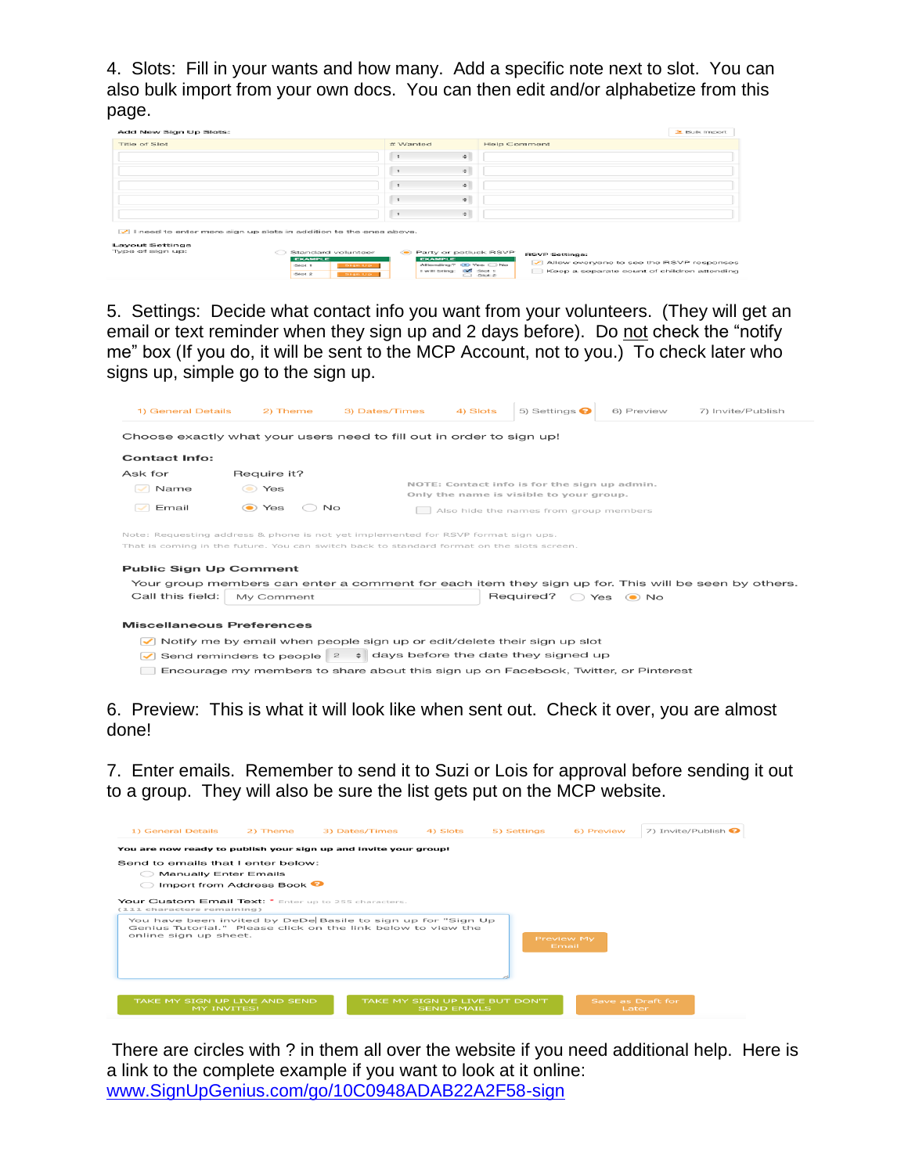4. Slots: Fill in your wants and how many. Add a specific note next to slot. You can also bulk import from your own docs. You can then edit and/or alphabetize from this page.

| Add New Sign Up Slots:                                                      |                                                        | 36 Bulk Import                                         |
|-----------------------------------------------------------------------------|--------------------------------------------------------|--------------------------------------------------------|
| Title of Slot                                                               | # Wanted                                               | Help Comment                                           |
|                                                                             | $\div$<br>$\mathcal{F}$                                |                                                        |
|                                                                             | $\div$<br>$\mathcal{L}$                                |                                                        |
|                                                                             | $\div$                                                 |                                                        |
|                                                                             | $\div$<br>$\mathbf{r}$                                 |                                                        |
|                                                                             | $\Rightarrow$<br>$\mathbf{I}$                          |                                                        |
| $\sqrt{}$ I need to enter more sign up slots in addition to the ones above. |                                                        |                                                        |
| <b>Layout Settings</b>                                                      |                                                        |                                                        |
| Type of sign up:<br>Standard volunteer                                      | Rarty or potluck RSVP                                  | <b>RSVP Settings:</b>                                  |
| <b>EXAMPLE</b><br>Silet 1                                                   | <b>EXAMPLE</b><br>Attending? @ Yes C No<br>Sign Up     | v Allow everyone to see the RSVP responses             |
| Stor 2                                                                      | I will bring: [eff Slot 1]<br><b>Chines State</b><br>- | Keep a separate count of children attending<br>Silot 2 |

5. Settings: Decide what contact info you want from your volunteers. (They will get an email or text reminder when they sign up and 2 days before). Do not check the "notify me" box (If you do, it will be sent to the MCP Account, not to you.) To check later who signs up, simple go to the sign up.

| Choose exactly what your users need to fill out in order to sign up!                                                                                                                                            |                                                                                                                                                           |  |                                        |                                        |  |  |  |
|-----------------------------------------------------------------------------------------------------------------------------------------------------------------------------------------------------------------|-----------------------------------------------------------------------------------------------------------------------------------------------------------|--|----------------------------------------|----------------------------------------|--|--|--|
|                                                                                                                                                                                                                 |                                                                                                                                                           |  |                                        |                                        |  |  |  |
| <b>Contact Info:</b>                                                                                                                                                                                            |                                                                                                                                                           |  |                                        |                                        |  |  |  |
| Ask for                                                                                                                                                                                                         | Require it?                                                                                                                                               |  |                                        |                                        |  |  |  |
| Name                                                                                                                                                                                                            | NOTE: Contact info is for the sign up admin.<br>(C) Yes                                                                                                   |  |                                        |                                        |  |  |  |
|                                                                                                                                                                                                                 | Only the name is visible to your group.                                                                                                                   |  |                                        |                                        |  |  |  |
| Email                                                                                                                                                                                                           | (C) Yes<br>No                                                                                                                                             |  |                                        | Also hide the names from group members |  |  |  |
| Note: Requesting address & phone is not yet implemented for RSVP format sign ups.<br>That is coming in the future. You can switch back to standard format on the slots screen.<br><b>Public Sign Up Comment</b> |                                                                                                                                                           |  |                                        |                                        |  |  |  |
| Your group members can enter a comment for each item they sign up for. This will be seen by others.                                                                                                             |                                                                                                                                                           |  |                                        |                                        |  |  |  |
| Call this field:<br>My Comment                                                                                                                                                                                  |                                                                                                                                                           |  | Required?<br>Yes<br>⊙ No<br>$\bigcirc$ |                                        |  |  |  |
| <b>Miscellaneous Preferences</b><br>$\checkmark$                                                                                                                                                                | Notify me by email when people sign up or edit/delete their sign up slot<br>Send reminders to people $2 \div \text{ days}$ before the date they signed up |  |                                        |                                        |  |  |  |

6. Preview: This is what it will look like when sent out. Check it over, you are almost done!

7. Enter emails. Remember to send it to Suzi or Lois for approval before sending it out to a group. They will also be sure the list gets put on the MCP website.

| 1) General Details                                                                                                                                    | 2) Theme                              | 3) Dates/Times | 4) Slots           | 5) Settings                    | 6) Preview                 | 7) Invite/Publish          |
|-------------------------------------------------------------------------------------------------------------------------------------------------------|---------------------------------------|----------------|--------------------|--------------------------------|----------------------------|----------------------------|
| You are now ready to publish your sign up and invite your group!                                                                                      |                                       |                |                    |                                |                            |                            |
| Send to emails that I enter below:                                                                                                                    |                                       |                |                    |                                |                            |                            |
| Manually Enter Emails                                                                                                                                 |                                       |                |                    |                                |                            |                            |
|                                                                                                                                                       | Import from Address Book <sup>O</sup> |                |                    |                                |                            |                            |
| Your Custom Email Text: * Enter up to 255 characters.<br>(111 characters remaining)                                                                   |                                       |                |                    |                                |                            |                            |
| You have been invited by DeDe Basile to sign up for "Sign Up<br>Genius Tutorial." Please click on the link below to view the<br>online sign up sheet. |                                       |                |                    |                                | <b>Preview My</b><br>Email |                            |
| TAKE MY SIGN UP LIVE AND SEND<br><b>MY INVITES!</b>                                                                                                   |                                       |                | <b>SEND EMAILS</b> | TAKE MY SIGN UP LIVE BUT DON'T |                            | Save as Draft for<br>Later |

There are circles with ? in them all over the website if you need additional help. Here is a link to the complete example if you want to look at it online: [www.SignUpGenius.com/go/10C0948ADAB22A2F58-sign](http://www.signupgenius.com/go/10C0948ADAB22A2F58-sign)